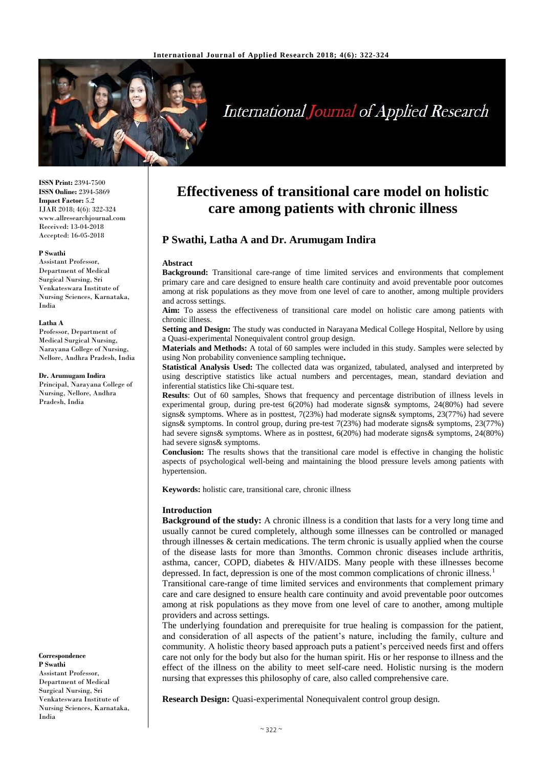

# **International Journal of Applied Research**

**ISSN Print:** 2394-7500 **ISSN Online:** 2394-5869 **Impact Factor:** 5.2 IJAR 2018; 4(6): 322-324 www.allresearchjournal.com Received: 13-04-2018 Accepted: 16-05-2018

## **P Swathi**

Assistant Professor, Department of Medical Surgical Nursing, Sri Venkateswara Institute of Nursing Sciences, Karnataka, India

### **Latha A**

Professor, Department of Medical Surgical Nursing, Narayana College of Nursing, Nellore, Andhra Pradesh, India

**Dr. Arumugam Indira**

Principal, Narayana College of Nursing, Nellore, Andhra Pradesh, India

**P Swathi** Assistant Professor, Department of Medical Surgical Nursing, Sri Venkateswara Institute of Nursing Sciences, Karnataka, India

**Correspondence**

## **Effectiveness of transitional care model on holistic care among patients with chronic illness**

## **P Swathi, Latha A and Dr. Arumugam Indira**

### **Abstract**

**Background:** Transitional care-range of time limited services and environments that complement primary care and care designed to ensure health care continuity and avoid preventable poor outcomes among at risk populations as they move from one level of care to another, among multiple providers and across settings.

**Aim:** To assess the effectiveness of transitional care model on holistic care among patients with chronic illness.

**Setting and Design:** The study was conducted in Narayana Medical College Hospital, Nellore by using a Quasi-experimental Nonequivalent control group design.

**Materials and Methods:** A total of 60 samples were included in this study. Samples were selected by using Non probability convenience sampling technique**.**

**Statistical Analysis Used:** The collected data was organized, tabulated, analysed and interpreted by using descriptive statistics like actual numbers and percentages, mean, standard deviation and inferential statistics like Chi-square test.

**Results**: Out of 60 samples, Shows that frequency and percentage distribution of illness levels in experimental group, during pre-test 6(20%) had moderate signs& symptoms, 24(80%) had severe signs& symptoms. Where as in posttest, 7(23%) had moderate signs& symptoms, 23(77%) had severe signs& symptoms. In control group, during pre-test 7(23%) had moderate signs& symptoms, 23(77%) had severe signs& symptoms. Where as in posttest, 6(20%) had moderate signs& symptoms, 24(80%) had severe signs& symptoms.

**Conclusion:** The results shows that the transitional care model is effective in changing the holistic aspects of psychological well-being and maintaining the blood pressure levels among patients with hypertension.

**Keywords:** holistic care, transitional care, chronic illness

## **Introduction**

**Background of the study:** A chronic illness is a condition that lasts for a very long time and usually cannot be cured completely, although some illnesses can be controlled or managed through illnesses & certain medications. The term chronic is usually applied when the course of the disease lasts for more than 3months. Common chronic diseases include arthritis, asthma, cancer, COPD, diabetes & HIV/AIDS. Many people with these illnesses become depressed. In fact, depression is one of the most common complications of chronic illness.<sup>1</sup>

Transitional care-range of time limited services and environments that complement primary care and care designed to ensure health care continuity and avoid preventable poor outcomes among at risk populations as they move from one level of care to another, among multiple providers and across settings.

The underlying foundation and prerequisite for true healing is compassion for the patient, and consideration of all aspects of the patient's nature, including the family, culture and community. A holistic theory based approach puts a patient's perceived needs first and offers care not only for the body but also for the human spirit. His or her response to illness and the effect of the illness on the ability to meet self-care need. Holistic nursing is the modern nursing that expresses this philosophy of care, also called comprehensive care.

**Research Design:** Quasi-experimental Nonequivalent control group design.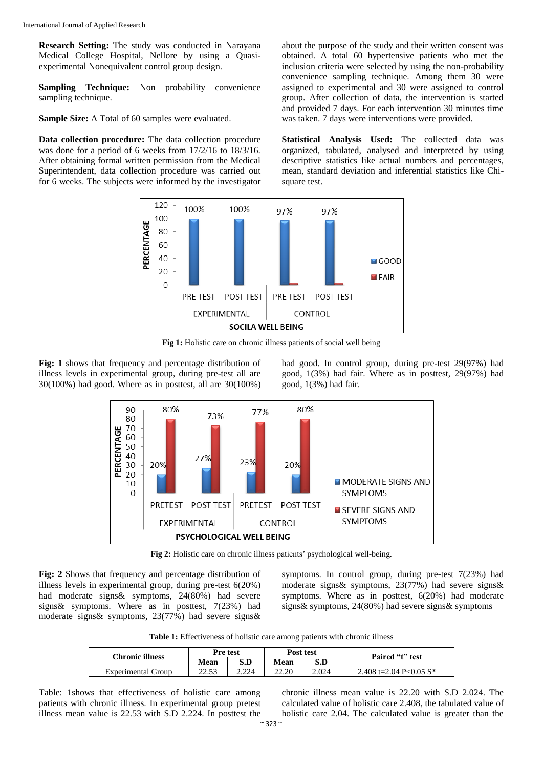**Research Setting:** The study was conducted in Narayana Medical College Hospital, Nellore by using a Quasiexperimental Nonequivalent control group design.

**Sampling Technique:** Non probability convenience sampling technique.

**Sample Size:** A Total of 60 samples were evaluated.

**Data collection procedure:** The data collection procedure was done for a period of 6 weeks from 17/2/16 to 18/3/16. After obtaining formal written permission from the Medical Superintendent, data collection procedure was carried out for 6 weeks. The subjects were informed by the investigator

about the purpose of the study and their written consent was obtained. A total 60 hypertensive patients who met the inclusion criteria were selected by using the non-probability convenience sampling technique. Among them 30 were assigned to experimental and 30 were assigned to control group. After collection of data, the intervention is started and provided 7 days. For each intervention 30 minutes time was taken. 7 days were interventions were provided.

**Statistical Analysis Used:** The collected data was organized, tabulated, analysed and interpreted by using descriptive statistics like actual numbers and percentages, mean, standard deviation and inferential statistics like Chisquare test.



**Fig 1:** Holistic care on chronic illness patients of social well being

**Fig: 1** shows that frequency and percentage distribution of illness levels in experimental group, during pre-test all are 30(100%) had good. Where as in posttest, all are 30(100%) had good. In control group, during pre-test 29(97%) had good, 1(3%) had fair. Where as in posttest, 29(97%) had good, 1(3%) had fair.



**Fig 2:** Holistic care on chronic illness patients' psychological well-being.

**Fig: 2** Shows that frequency and percentage distribution of illness levels in experimental group, during pre-test 6(20%) had moderate signs& symptoms, 24(80%) had severe signs& symptoms. Where as in posttest, 7(23%) had moderate signs& symptoms, 23(77%) had severe signs& symptoms. In control group, during pre-test 7(23%) had moderate signs& symptoms, 23(77%) had severe signs& symptoms. Where as in posttest, 6(20%) had moderate signs& symptoms, 24(80%) had severe signs& symptoms

**Table 1:** Effectiveness of holistic care among patients with chronic illness

| Chronic illness    | Pre test        |       | Post test   |       | Paired "t" test           |
|--------------------|-----------------|-------|-------------|-------|---------------------------|
|                    | Mean            | S.D   | <b>Mean</b> | S.D   |                           |
| Experimental Group | าา รว<br>د د. ک | 2.224 | 22.20       | 2.024 | 2.408 t=2.04 P<0.05 $S^*$ |

Table: 1shows that effectiveness of holistic care among patients with chronic illness. In experimental group pretest illness mean value is 22.53 with S.D 2.224. In posttest the chronic illness mean value is 22.20 with S.D 2.024. The calculated value of holistic care 2.408, the tabulated value of holistic care 2.04. The calculated value is greater than the